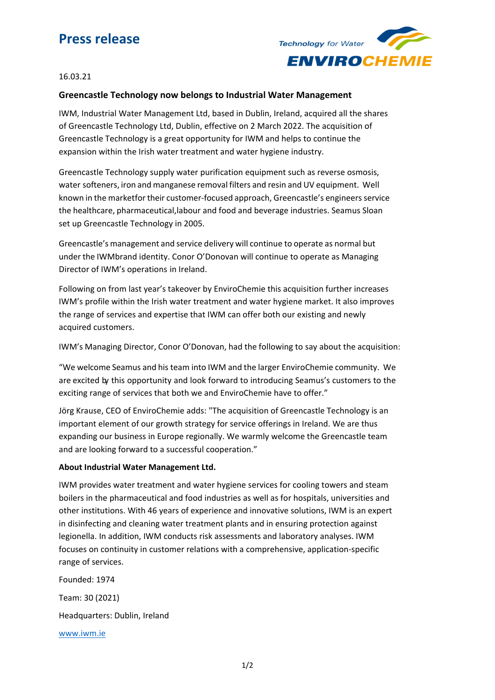# **Press release**



16.03.21

### **Greencastle Technology now belongs to Industrial Water Management**

IWM, Industrial Water Management Ltd, based in Dublin, Ireland, acquired all the shares of Greencastle Technology Ltd, Dublin, effective on 2 March 2022. The acquisition of Greencastle Technology is a great opportunity for IWM and helps to continue the expansion within the Irish water treatment and water hygiene industry.

Greencastle Technology supply water purification equipment such as reverse osmosis, water softeners, iron and manganese removal filters and resin and UV equipment. Well known in the marketfor their customer-focused approach, Greencastle's engineers service the healthcare, pharmaceutical,labour and food and beverage industries. Seamus Sloan set up Greencastle Technology in 2005.

Greencastle's management and service delivery will continue to operate as normal but under the IWMbrand identity. Conor O'Donovan will continue to operate as Managing Director of IWM's operations in Ireland.

Following on from last year's takeover by EnviroChemie this acquisition further increases IWM's profile within the Irish water treatment and water hygiene market. It also improves the range of services and expertise that IWM can offer both our existing and newly acquired customers.

IWM's Managing Director, Conor O'Donovan, had the following to say about the acquisition:

"We welcome Seamus and his team into IWM and the larger EnviroChemie community. We are excited by this opportunity and look forward to introducing Seamus's customers to the exciting range of services that both we and EnviroChemie have to offer."

Jörg Krause, CEO of EnviroChemie adds: "The acquisition of Greencastle Technology is an important element of our growth strategy for service offerings in Ireland. We are thus expanding our business in Europe regionally. We warmly welcome the Greencastle team and are looking forward to a successful cooperation."

#### **About Industrial Water Management Ltd.**

IWM provides water treatment and water hygiene services for cooling towers and steam boilers in the pharmaceutical and food industries as well as for hospitals, universities and other institutions. With 46 years of experience and innovative solutions, IWM is an expert in disinfecting and cleaning water treatment plants and in ensuring protection against legionella. In addition, IWM conducts risk assessments and laboratory analyses. IWM focuses on continuity in customer relations with a comprehensive, application‐specific range of services.

Founded: 1974 Team: 30 (2021) Headquarters: Dublin, Ireland

www.iwm.ie